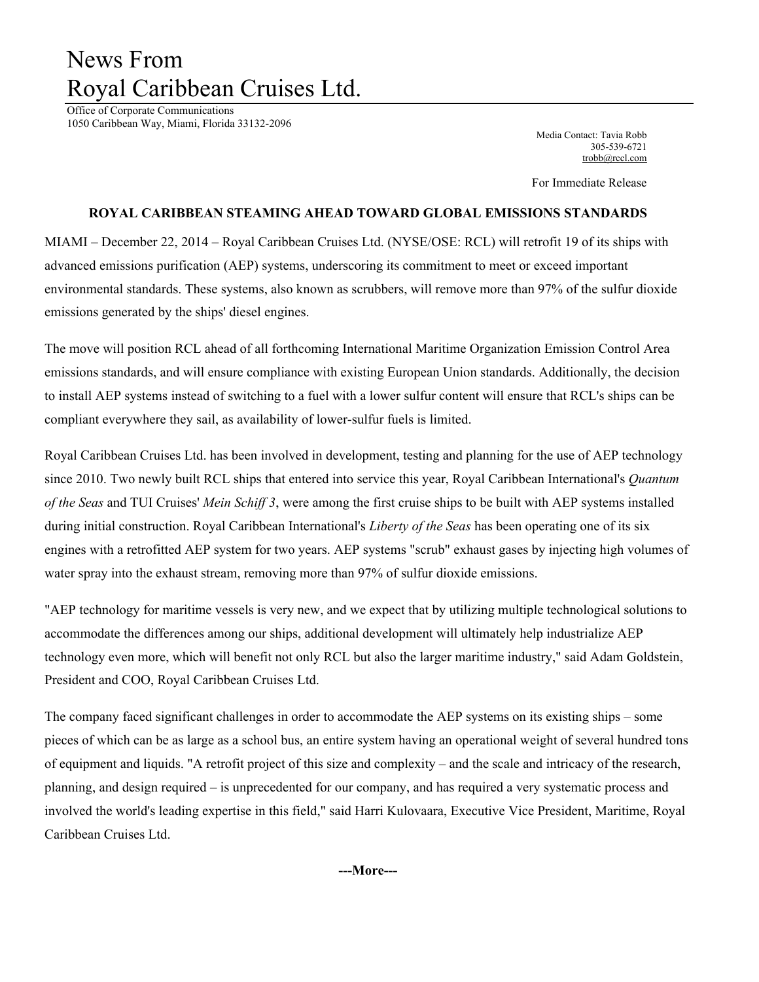## News From Royal Caribbean Cruises Ltd.

Office of Corporate Communications 1050 Caribbean Way, Miami, Florida 33132-2096

Media Contact: Tavia Robb 305-539-6721 trobb@rccl.com

For Immediate Release

## **ROYAL CARIBBEAN STEAMING AHEAD TOWARD GLOBAL EMISSIONS STANDARDS**

MIAMI – December 22, 2014 – Royal Caribbean Cruises Ltd. (NYSE/OSE: RCL) will retrofit 19 of its ships with advanced emissions purification (AEP) systems, underscoring its commitment to meet or exceed important environmental standards. These systems, also known as scrubbers, will remove more than 97% of the sulfur dioxide emissions generated by the ships' diesel engines.

The move will position RCL ahead of all forthcoming International Maritime Organization Emission Control Area emissions standards, and will ensure compliance with existing European Union standards. Additionally, the decision to install AEP systems instead of switching to a fuel with a lower sulfur content will ensure that RCL's ships can be compliant everywhere they sail, as availability of lower-sulfur fuels is limited.

Royal Caribbean Cruises Ltd. has been involved in development, testing and planning for the use of AEP technology since 2010. Two newly built RCL ships that entered into service this year, Royal Caribbean International's *Quantum of the Seas* and TUI Cruises' *Mein Schiff 3*, were among the first cruise ships to be built with AEP systems installed during initial construction. Royal Caribbean International's *Liberty of the Seas* has been operating one of its six engines with a retrofitted AEP system for two years. AEP systems "scrub" exhaust gases by injecting high volumes of water spray into the exhaust stream, removing more than 97% of sulfur dioxide emissions.

"AEP technology for maritime vessels is very new, and we expect that by utilizing multiple technological solutions to accommodate the differences among our ships, additional development will ultimately help industrialize AEP technology even more, which will benefit not only RCL but also the larger maritime industry," said Adam Goldstein, President and COO, Royal Caribbean Cruises Ltd.

The company faced significant challenges in order to accommodate the AEP systems on its existing ships – some pieces of which can be as large as a school bus, an entire system having an operational weight of several hundred tons of equipment and liquids. "A retrofit project of this size and complexity – and the scale and intricacy of the research, planning, and design required – is unprecedented for our company, and has required a very systematic process and involved the world's leading expertise in this field," said Harri Kulovaara, Executive Vice President, Maritime, Royal Caribbean Cruises Ltd.

**---More---**